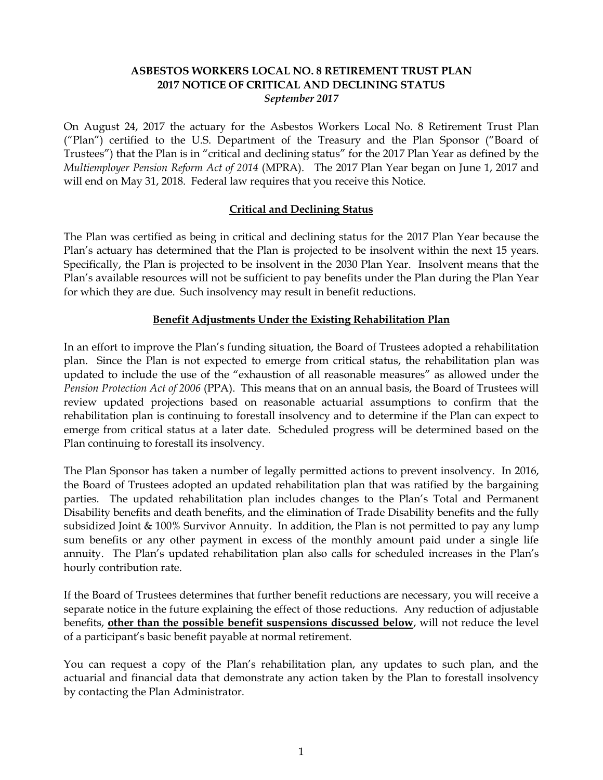### **ASBESTOS WORKERS LOCAL NO. 8 RETIREMENT TRUST PLAN 2017 NOTICE OF CRITICAL AND DECLINING STATUS** *September 2017*

On August 24, 2017 the actuary for the Asbestos Workers Local No. 8 Retirement Trust Plan ("Plan") certified to the U.S. Department of the Treasury and the Plan Sponsor ("Board of Trustees") that the Plan is in "critical and declining status" for the 2017 Plan Year as defined by the *Multiemployer Pension Reform Act of 2014* (MPRA). The 2017 Plan Year began on June 1, 2017 and will end on May 31, 2018. Federal law requires that you receive this Notice.

## **Critical and Declining Status**

The Plan was certified as being in critical and declining status for the 2017 Plan Year because the Plan's actuary has determined that the Plan is projected to be insolvent within the next 15 years. Specifically, the Plan is projected to be insolvent in the 2030 Plan Year. Insolvent means that the Plan's available resources will not be sufficient to pay benefits under the Plan during the Plan Year for which they are due. Such insolvency may result in benefit reductions.

## **Benefit Adjustments Under the Existing Rehabilitation Plan**

In an effort to improve the Plan's funding situation, the Board of Trustees adopted a rehabilitation plan. Since the Plan is not expected to emerge from critical status, the rehabilitation plan was updated to include the use of the "exhaustion of all reasonable measures" as allowed under the *Pension Protection Act of 2006* (PPA). This means that on an annual basis, the Board of Trustees will review updated projections based on reasonable actuarial assumptions to confirm that the rehabilitation plan is continuing to forestall insolvency and to determine if the Plan can expect to emerge from critical status at a later date. Scheduled progress will be determined based on the Plan continuing to forestall its insolvency.

The Plan Sponsor has taken a number of legally permitted actions to prevent insolvency. In 2016, the Board of Trustees adopted an updated rehabilitation plan that was ratified by the bargaining parties. The updated rehabilitation plan includes changes to the Plan's Total and Permanent Disability benefits and death benefits, and the elimination of Trade Disability benefits and the fully subsidized Joint & 100% Survivor Annuity. In addition, the Plan is not permitted to pay any lump sum benefits or any other payment in excess of the monthly amount paid under a single life annuity. The Plan's updated rehabilitation plan also calls for scheduled increases in the Plan's hourly contribution rate.

If the Board of Trustees determines that further benefit reductions are necessary, you will receive a separate notice in the future explaining the effect of those reductions. Any reduction of adjustable benefits, **other than the possible benefit suspensions discussed below**, will not reduce the level of a participant's basic benefit payable at normal retirement.

You can request a copy of the Plan's rehabilitation plan, any updates to such plan, and the actuarial and financial data that demonstrate any action taken by the Plan to forestall insolvency by contacting the Plan Administrator.